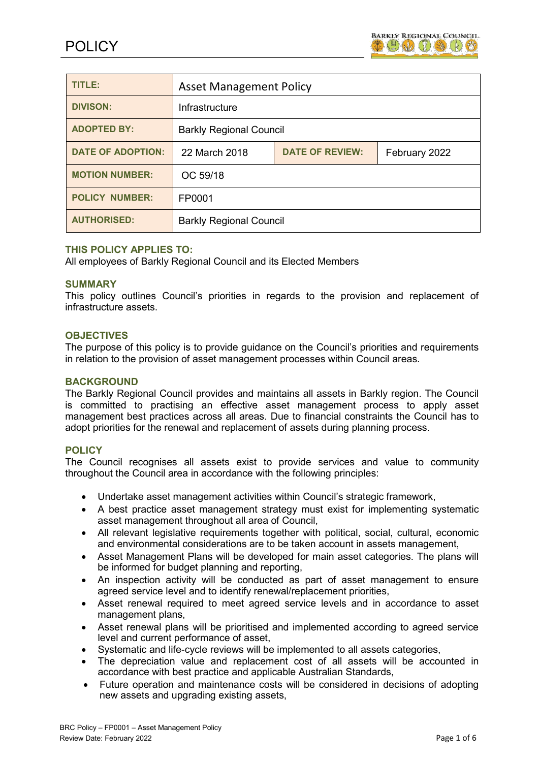

| <b>TITLE:</b>            | <b>Asset Management Policy</b> |                        |               |
|--------------------------|--------------------------------|------------------------|---------------|
| <b>DIVISON:</b>          | Infrastructure                 |                        |               |
| <b>ADOPTED BY:</b>       | <b>Barkly Regional Council</b> |                        |               |
| <b>DATE OF ADOPTION:</b> | 22 March 2018                  | <b>DATE OF REVIEW:</b> | February 2022 |
| <b>MOTION NUMBER:</b>    | OC 59/18                       |                        |               |
| <b>POLICY NUMBER:</b>    | FP0001                         |                        |               |
| <b>AUTHORISED:</b>       | <b>Barkly Regional Council</b> |                        |               |

# **THIS POLICY APPLIES TO:**

All employees of Barkly Regional Council and its Elected Members

#### **SUMMARY**

This policy outlines Council's priorities in regards to the provision and replacement of infrastructure assets.

## **OBJECTIVES**

The purpose of this policy is to provide guidance on the Council's priorities and requirements in relation to the provision of asset management processes within Council areas.

## **BACKGROUND**

The Barkly Regional Council provides and maintains all assets in Barkly region. The Council is committed to practising an effective asset management process to apply asset management best practices across all areas. Due to financial constraints the Council has to adopt priorities for the renewal and replacement of assets during planning process.

## **POLICY**

The Council recognises all assets exist to provide services and value to community throughout the Council area in accordance with the following principles:

- Undertake asset management activities within Council's strategic framework,
- A best practice asset management strategy must exist for implementing systematic asset management throughout all area of Council,
- All relevant legislative requirements together with political, social, cultural, economic and environmental considerations are to be taken account in assets management,
- Asset Management Plans will be developed for main asset categories. The plans will be informed for budget planning and reporting,
- An inspection activity will be conducted as part of asset management to ensure agreed service level and to identify renewal/replacement priorities,
- Asset renewal required to meet agreed service levels and in accordance to asset management plans,
- Asset renewal plans will be prioritised and implemented according to agreed service level and current performance of asset,
- Systematic and life-cycle reviews will be implemented to all assets categories,
- The depreciation value and replacement cost of all assets will be accounted in accordance with best practice and applicable Australian Standards,
- Future operation and maintenance costs will be considered in decisions of adopting new assets and upgrading existing assets,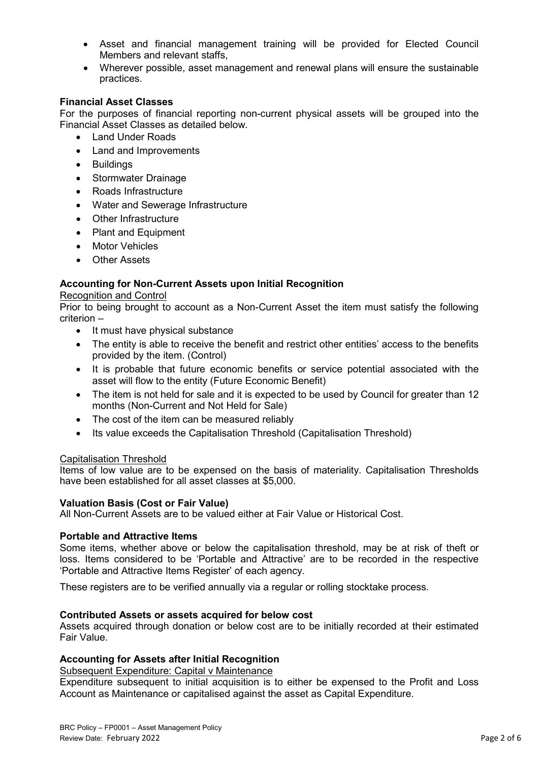- Asset and financial management training will be provided for Elected Council Members and relevant staffs,
- Wherever possible, asset management and renewal plans will ensure the sustainable practices.

# **Financial Asset Classes**

For the purposes of financial reporting non-current physical assets will be grouped into the Financial Asset Classes as detailed below.

- Land Under Roads
- Land and Improvements
- Buildings
- Stormwater Drainage
- Roads Infrastructure
- Water and Sewerage Infrastructure
- Other Infrastructure
- Plant and Equipment
- **Motor Vehicles**
- **Other Assets**

# **Accounting for Non-Current Assets upon Initial Recognition**

#### Recognition and Control

Prior to being brought to account as a Non-Current Asset the item must satisfy the following criterion –

- It must have physical substance
- The entity is able to receive the benefit and restrict other entities' access to the benefits provided by the item. (Control)
- It is probable that future economic benefits or service potential associated with the asset will flow to the entity (Future Economic Benefit)
- The item is not held for sale and it is expected to be used by Council for greater than 12 months (Non-Current and Not Held for Sale)
- The cost of the item can be measured reliably
- Its value exceeds the Capitalisation Threshold (Capitalisation Threshold)

## Capitalisation Threshold

Items of low value are to be expensed on the basis of materiality. Capitalisation Thresholds have been established for all asset classes at \$5,000.

## **Valuation Basis (Cost or Fair Value)**

All Non-Current Assets are to be valued either at Fair Value or Historical Cost.

## **Portable and Attractive Items**

Some items, whether above or below the capitalisation threshold, may be at risk of theft or loss. Items considered to be 'Portable and Attractive' are to be recorded in the respective 'Portable and Attractive Items Register' of each agency.

These registers are to be verified annually via a regular or rolling stocktake process.

## **Contributed Assets or assets acquired for below cost**

Assets acquired through donation or below cost are to be initially recorded at their estimated Fair Value.

## **Accounting for Assets after Initial Recognition**

Subsequent Expenditure: Capital v Maintenance

Expenditure subsequent to initial acquisition is to either be expensed to the Profit and Loss Account as Maintenance or capitalised against the asset as Capital Expenditure.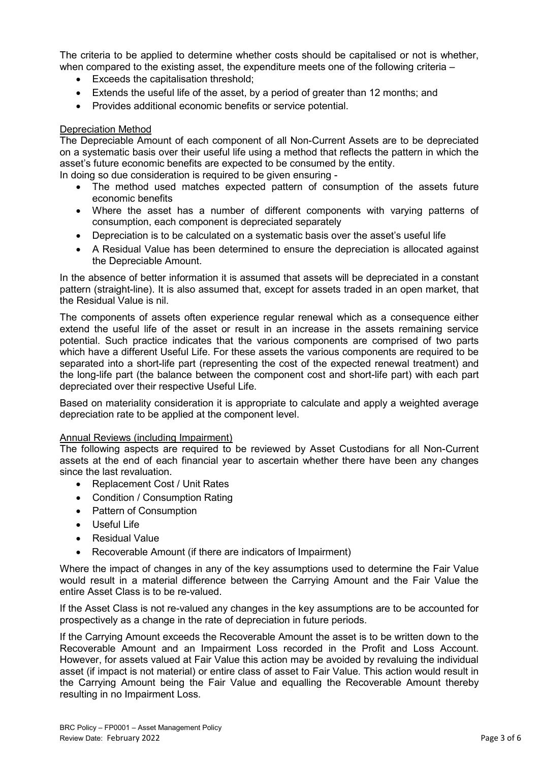The criteria to be applied to determine whether costs should be capitalised or not is whether, when compared to the existing asset, the expenditure meets one of the following criteria –

- Exceeds the capitalisation threshold;
- Extends the useful life of the asset, by a period of greater than 12 months; and
- Provides additional economic benefits or service potential.

# Depreciation Method

The Depreciable Amount of each component of all Non-Current Assets are to be depreciated on a systematic basis over their useful life using a method that reflects the pattern in which the asset's future economic benefits are expected to be consumed by the entity.

In doing so due consideration is required to be given ensuring -

- The method used matches expected pattern of consumption of the assets future economic benefits
- Where the asset has a number of different components with varying patterns of consumption, each component is depreciated separately
- Depreciation is to be calculated on a systematic basis over the asset's useful life
- A Residual Value has been determined to ensure the depreciation is allocated against the Depreciable Amount.

In the absence of better information it is assumed that assets will be depreciated in a constant pattern (straight-line). It is also assumed that, except for assets traded in an open market, that the Residual Value is nil.

The components of assets often experience regular renewal which as a consequence either extend the useful life of the asset or result in an increase in the assets remaining service potential. Such practice indicates that the various components are comprised of two parts which have a different Useful Life. For these assets the various components are required to be separated into a short-life part (representing the cost of the expected renewal treatment) and the long-life part (the balance between the component cost and short-life part) with each part depreciated over their respective Useful Life.

Based on materiality consideration it is appropriate to calculate and apply a weighted average depreciation rate to be applied at the component level.

# Annual Reviews (including Impairment)

The following aspects are required to be reviewed by Asset Custodians for all Non-Current assets at the end of each financial year to ascertain whether there have been any changes since the last revaluation.

- Replacement Cost / Unit Rates
- Condition / Consumption Rating
- Pattern of Consumption
- Useful Life
- Residual Value
- Recoverable Amount (if there are indicators of Impairment)

Where the impact of changes in any of the key assumptions used to determine the Fair Value would result in a material difference between the Carrying Amount and the Fair Value the entire Asset Class is to be re-valued.

If the Asset Class is not re-valued any changes in the key assumptions are to be accounted for prospectively as a change in the rate of depreciation in future periods.

If the Carrying Amount exceeds the Recoverable Amount the asset is to be written down to the Recoverable Amount and an Impairment Loss recorded in the Profit and Loss Account. However, for assets valued at Fair Value this action may be avoided by revaluing the individual asset (if impact is not material) or entire class of asset to Fair Value. This action would result in the Carrying Amount being the Fair Value and equalling the Recoverable Amount thereby resulting in no Impairment Loss.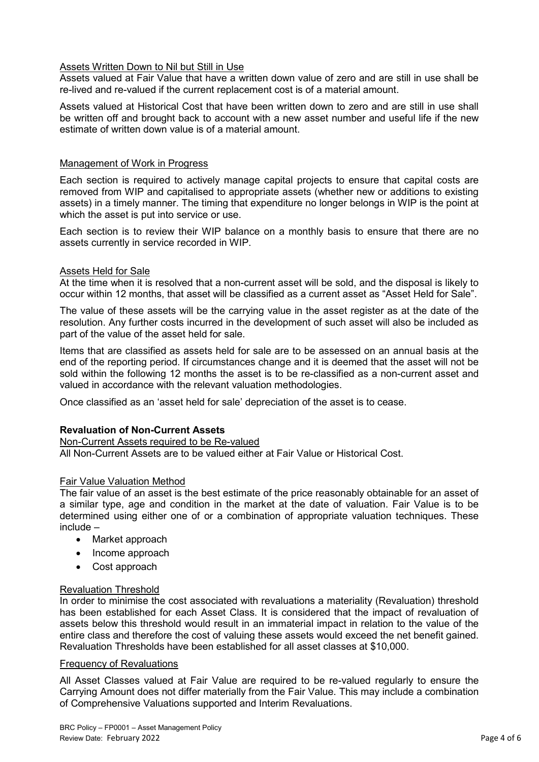# Assets Written Down to Nil but Still in Use

Assets valued at Fair Value that have a written down value of zero and are still in use shall be re-lived and re-valued if the current replacement cost is of a material amount.

Assets valued at Historical Cost that have been written down to zero and are still in use shall be written off and brought back to account with a new asset number and useful life if the new estimate of written down value is of a material amount.

## Management of Work in Progress

Each section is required to actively manage capital projects to ensure that capital costs are removed from WIP and capitalised to appropriate assets (whether new or additions to existing assets) in a timely manner. The timing that expenditure no longer belongs in WIP is the point at which the asset is put into service or use.

Each section is to review their WIP balance on a monthly basis to ensure that there are no assets currently in service recorded in WIP.

# Assets Held for Sale

At the time when it is resolved that a non-current asset will be sold, and the disposal is likely to occur within 12 months, that asset will be classified as a current asset as "Asset Held for Sale".

The value of these assets will be the carrying value in the asset register as at the date of the resolution. Any further costs incurred in the development of such asset will also be included as part of the value of the asset held for sale.

Items that are classified as assets held for sale are to be assessed on an annual basis at the end of the reporting period. If circumstances change and it is deemed that the asset will not be sold within the following 12 months the asset is to be re-classified as a non-current asset and valued in accordance with the relevant valuation methodologies.

Once classified as an 'asset held for sale' depreciation of the asset is to cease.

## **Revaluation of Non-Current Assets**

# Non-Current Assets required to be Re-valued

All Non-Current Assets are to be valued either at Fair Value or Historical Cost.

## Fair Value Valuation Method

The fair value of an asset is the best estimate of the price reasonably obtainable for an asset of a similar type, age and condition in the market at the date of valuation. Fair Value is to be determined using either one of or a combination of appropriate valuation techniques. These include –

- Market approach
- Income approach
- Cost approach

## Revaluation Threshold

In order to minimise the cost associated with revaluations a materiality (Revaluation) threshold has been established for each Asset Class. It is considered that the impact of revaluation of assets below this threshold would result in an immaterial impact in relation to the value of the entire class and therefore the cost of valuing these assets would exceed the net benefit gained. Revaluation Thresholds have been established for all asset classes at \$10,000.

## Frequency of Revaluations

All Asset Classes valued at Fair Value are required to be re-valued regularly to ensure the Carrying Amount does not differ materially from the Fair Value. This may include a combination of Comprehensive Valuations supported and Interim Revaluations.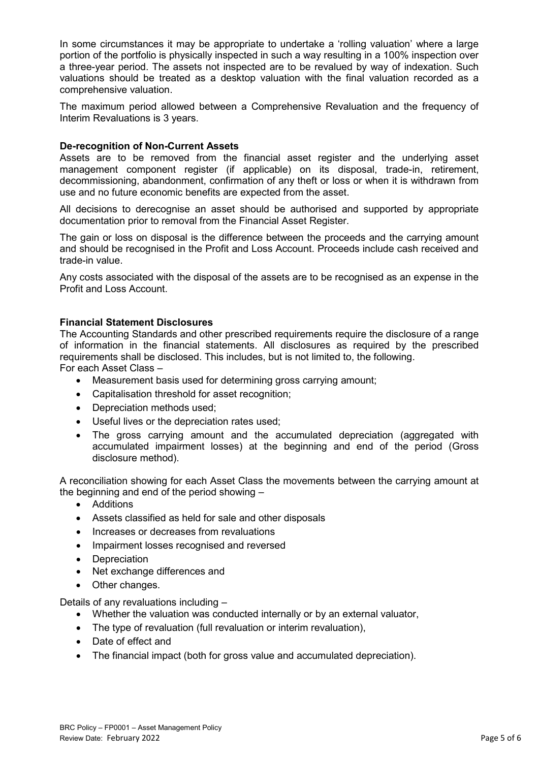In some circumstances it may be appropriate to undertake a 'rolling valuation' where a large portion of the portfolio is physically inspected in such a way resulting in a 100% inspection over a three-year period. The assets not inspected are to be revalued by way of indexation. Such valuations should be treated as a desktop valuation with the final valuation recorded as a comprehensive valuation.

The maximum period allowed between a Comprehensive Revaluation and the frequency of Interim Revaluations is 3 years.

# **De-recognition of Non-Current Assets**

Assets are to be removed from the financial asset register and the underlying asset management component register (if applicable) on its disposal, trade-in, retirement, decommissioning, abandonment, confirmation of any theft or loss or when it is withdrawn from use and no future economic benefits are expected from the asset.

All decisions to derecognise an asset should be authorised and supported by appropriate documentation prior to removal from the Financial Asset Register.

The gain or loss on disposal is the difference between the proceeds and the carrying amount and should be recognised in the Profit and Loss Account. Proceeds include cash received and trade-in value.

Any costs associated with the disposal of the assets are to be recognised as an expense in the Profit and Loss Account.

# **Financial Statement Disclosures**

The Accounting Standards and other prescribed requirements require the disclosure of a range of information in the financial statements. All disclosures as required by the prescribed requirements shall be disclosed. This includes, but is not limited to, the following. For each Asset Class –

- Measurement basis used for determining gross carrying amount;
- Capitalisation threshold for asset recognition;
- Depreciation methods used;
- Useful lives or the depreciation rates used;
- The gross carrying amount and the accumulated depreciation (aggregated with accumulated impairment losses) at the beginning and end of the period (Gross disclosure method).

A reconciliation showing for each Asset Class the movements between the carrying amount at the beginning and end of the period showing –

- Additions
- Assets classified as held for sale and other disposals
- Increases or decreases from revaluations
- Impairment losses recognised and reversed
- **Depreciation**
- Net exchange differences and
- Other changes.

Details of any revaluations including –

- Whether the valuation was conducted internally or by an external valuator,
- The type of revaluation (full revaluation or interim revaluation),
- Date of effect and
- The financial impact (both for gross value and accumulated depreciation).